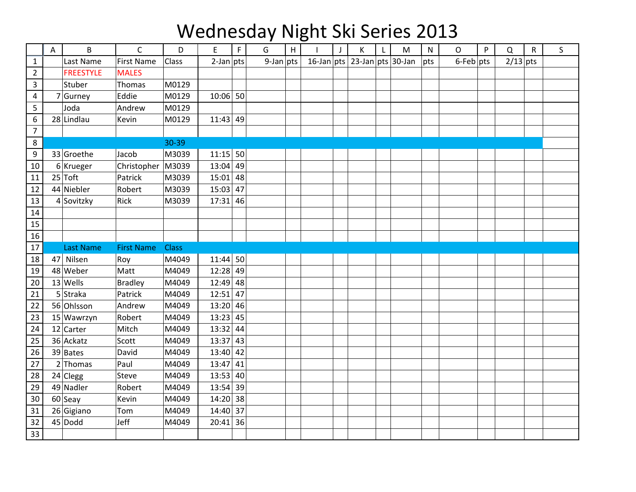## Wednesday Night Ski Series 2013

|                | Α  | B                | $\mathsf{C}$      | D            | E            | $\mathsf F$ | G            | H | $\mathbf{I}$                 | $\mathsf J$ | К | L | M | $\mathsf{N}$ | $\mathsf{O}$    | P | $\mathsf Q$ | R | S |
|----------------|----|------------------|-------------------|--------------|--------------|-------------|--------------|---|------------------------------|-------------|---|---|---|--------------|-----------------|---|-------------|---|---|
| $\mathbf{1}$   |    | Last Name        | <b>First Name</b> | Class        | $2$ -Jan pts |             | $9$ -Jan pts |   | 16-Jan pts 23-Jan pts 30-Jan |             |   |   |   | pts          | $6$ -Feb $ pts$ |   | $2/13$ pts  |   |   |
| $\overline{2}$ |    | <b>FREESTYLE</b> | <b>MALES</b>      |              |              |             |              |   |                              |             |   |   |   |              |                 |   |             |   |   |
| 3              |    | Stuber           | Thomas            | M0129        |              |             |              |   |                              |             |   |   |   |              |                 |   |             |   |   |
| $\overline{4}$ |    | $7$ Gurney       | Eddie             | M0129        | $10:06$ 50   |             |              |   |                              |             |   |   |   |              |                 |   |             |   |   |
| 5              |    | Joda             | Andrew            | M0129        |              |             |              |   |                              |             |   |   |   |              |                 |   |             |   |   |
| 6              |    | 28 Lindlau       | Kevin             | M0129        | $11:43$ 49   |             |              |   |                              |             |   |   |   |              |                 |   |             |   |   |
| $\overline{7}$ |    |                  |                   |              |              |             |              |   |                              |             |   |   |   |              |                 |   |             |   |   |
| 8              |    |                  |                   | 30-39        |              |             |              |   |                              |             |   |   |   |              |                 |   |             |   |   |
| 9              |    | 33 Groethe       | Jacob             | M3039        | $11:15$ 50   |             |              |   |                              |             |   |   |   |              |                 |   |             |   |   |
| 10             |    | $6$ Krueger      | Christopher       | M3039        | $13:04$ 49   |             |              |   |                              |             |   |   |   |              |                 |   |             |   |   |
| 11             |    | $25$ Toft        | Patrick           | M3039        | $15:01$ 48   |             |              |   |                              |             |   |   |   |              |                 |   |             |   |   |
| 12             |    | 44 Niebler       | Robert            | M3039        | 15:03        | 47          |              |   |                              |             |   |   |   |              |                 |   |             |   |   |
| 13             |    | 4 Sovitzky       | Rick              | M3039        | $17:31$ 46   |             |              |   |                              |             |   |   |   |              |                 |   |             |   |   |
| 14             |    |                  |                   |              |              |             |              |   |                              |             |   |   |   |              |                 |   |             |   |   |
| 15             |    |                  |                   |              |              |             |              |   |                              |             |   |   |   |              |                 |   |             |   |   |
| 16             |    |                  |                   |              |              |             |              |   |                              |             |   |   |   |              |                 |   |             |   |   |
| 17             |    | <b>Last Name</b> | <b>First Name</b> | <b>Class</b> |              |             |              |   |                              |             |   |   |   |              |                 |   |             |   |   |
| 18             | 47 | Nilsen           | Roy               | M4049        | $11:44$ 50   |             |              |   |                              |             |   |   |   |              |                 |   |             |   |   |
| 19             |    | 48 Weber         | Matt              | M4049        | 12:28 49     |             |              |   |                              |             |   |   |   |              |                 |   |             |   |   |
| 20             |    | $13$ Wells       | <b>Bradley</b>    | M4049        | $12:49$ 48   |             |              |   |                              |             |   |   |   |              |                 |   |             |   |   |
| 21             |    | $5$ Straka       | Patrick           | M4049        | 12:51        | 47          |              |   |                              |             |   |   |   |              |                 |   |             |   |   |
| 22             |    | 56 Ohlsson       | Andrew            | M4049        | $13:20$ 46   |             |              |   |                              |             |   |   |   |              |                 |   |             |   |   |
| 23             |    | 15 Wawrzyn       | Robert            | M4049        | $13:23$ 45   |             |              |   |                              |             |   |   |   |              |                 |   |             |   |   |
| 24             |    | 12 Carter        | Mitch             | M4049        | $13:32$ 44   |             |              |   |                              |             |   |   |   |              |                 |   |             |   |   |
| 25             |    | 36 Ackatz        | Scott             | M4049        | $13:37$ 43   |             |              |   |                              |             |   |   |   |              |                 |   |             |   |   |
| 26             |    | $39$ Bates       | David             | M4049        | $13:40$ 42   |             |              |   |                              |             |   |   |   |              |                 |   |             |   |   |
| 27             |    | $2$ Thomas       | Paul              | M4049        | 13:47        | 41          |              |   |                              |             |   |   |   |              |                 |   |             |   |   |
| 28             |    | $24$ Clegg       | <b>Steve</b>      | M4049        | $13:53$ 40   |             |              |   |                              |             |   |   |   |              |                 |   |             |   |   |
| 29             |    | 49 Nadler        | Robert            | M4049        | $13:54$ 39   |             |              |   |                              |             |   |   |   |              |                 |   |             |   |   |
| 30             |    | $60$ Seay        | Kevin             | M4049        | 14:20 38     |             |              |   |                              |             |   |   |   |              |                 |   |             |   |   |
| 31             |    | $26 G$ igiano    | Tom               | M4049        | $14:40$ 37   |             |              |   |                              |             |   |   |   |              |                 |   |             |   |   |
| 32             |    | $45 $ Dodd       | Jeff              | M4049        | 20:41        | 36          |              |   |                              |             |   |   |   |              |                 |   |             |   |   |
| 33             |    |                  |                   |              |              |             |              |   |                              |             |   |   |   |              |                 |   |             |   |   |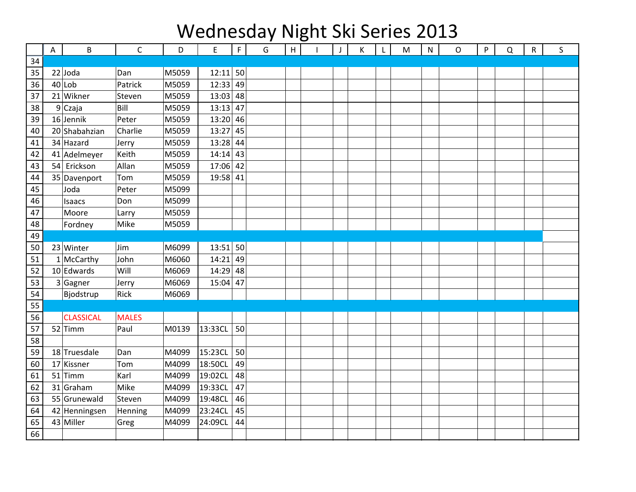## Wednesday Night Ski Series 2013

|    | A | $\sf B$          | $\mathsf{C}$ | D     | E          | $\mathsf F$ | G | H | J | К | L | M | ${\sf N}$ | O | P | Q | $\mathsf R$ | S |
|----|---|------------------|--------------|-------|------------|-------------|---|---|---|---|---|---|-----------|---|---|---|-------------|---|
| 34 |   |                  |              |       |            |             |   |   |   |   |   |   |           |   |   |   |             |   |
| 35 |   | $22$ Joda        | Dan          | M5059 | $12:11$ 50 |             |   |   |   |   |   |   |           |   |   |   |             |   |
| 36 |   | $40$  Lob        | Patrick      | M5059 | $12:33$ 49 |             |   |   |   |   |   |   |           |   |   |   |             |   |
| 37 |   | 21 Wikner        | Steven       | M5059 | $13:03$ 48 |             |   |   |   |   |   |   |           |   |   |   |             |   |
| 38 |   | $9$ Czaja        | Bill         | M5059 | $13:13$ 47 |             |   |   |   |   |   |   |           |   |   |   |             |   |
| 39 |   | $16$ Jennik      | Peter        | M5059 | $13:20$ 46 |             |   |   |   |   |   |   |           |   |   |   |             |   |
| 40 |   | 20 Shabahzian    | Charlie      | M5059 | 13:27      | 45          |   |   |   |   |   |   |           |   |   |   |             |   |
| 41 |   | 34 Hazard        | Jerry        | M5059 | $13:28$ 44 |             |   |   |   |   |   |   |           |   |   |   |             |   |
| 42 |   | 41 Adelmeyer     | Keith        | M5059 | $14:14$ 43 |             |   |   |   |   |   |   |           |   |   |   |             |   |
| 43 |   | 54 Erickson      | Allan        | M5059 | $17:06$ 42 |             |   |   |   |   |   |   |           |   |   |   |             |   |
| 44 |   | 35 Davenport     | Tom          | M5059 | 19:58 41   |             |   |   |   |   |   |   |           |   |   |   |             |   |
| 45 |   | Joda             | Peter        | M5099 |            |             |   |   |   |   |   |   |           |   |   |   |             |   |
| 46 |   | Isaacs           | Don          | M5099 |            |             |   |   |   |   |   |   |           |   |   |   |             |   |
| 47 |   | Moore            | Larry        | M5059 |            |             |   |   |   |   |   |   |           |   |   |   |             |   |
| 48 |   | Fordney          | Mike         | M5059 |            |             |   |   |   |   |   |   |           |   |   |   |             |   |
| 49 |   |                  |              |       |            |             |   |   |   |   |   |   |           |   |   |   |             |   |
| 50 |   | 23 Winter        | Jim          | M6099 | $13:51$ 50 |             |   |   |   |   |   |   |           |   |   |   |             |   |
| 51 |   | $1$ McCarthy     | John         | M6060 | $14:21$ 49 |             |   |   |   |   |   |   |           |   |   |   |             |   |
| 52 |   | $10$ Edwards     | Will         | M6069 | $14:29$ 48 |             |   |   |   |   |   |   |           |   |   |   |             |   |
| 53 |   | $3$ Gagner       | Jerry        | M6069 | $15:04$ 47 |             |   |   |   |   |   |   |           |   |   |   |             |   |
| 54 |   | Bjodstrup        | Rick         | M6069 |            |             |   |   |   |   |   |   |           |   |   |   |             |   |
| 55 |   |                  |              |       |            |             |   |   |   |   |   |   |           |   |   |   |             |   |
| 56 |   | <b>CLASSICAL</b> | <b>MALES</b> |       |            |             |   |   |   |   |   |   |           |   |   |   |             |   |
| 57 |   | $52$ Timm        | Paul         | M0139 | 13:33CL    | 50          |   |   |   |   |   |   |           |   |   |   |             |   |
| 58 |   |                  |              |       |            |             |   |   |   |   |   |   |           |   |   |   |             |   |
| 59 |   | 18 Truesdale     | Dan          | M4099 | 15:23CL    | 50          |   |   |   |   |   |   |           |   |   |   |             |   |
| 60 |   | 17 Kissner       | Tom          | M4099 | 18:50CL    | 49          |   |   |   |   |   |   |           |   |   |   |             |   |
| 61 |   | $51$ Timm        | Karl         | M4099 | 19:02CL    | 48          |   |   |   |   |   |   |           |   |   |   |             |   |
| 62 |   | 31 Graham        | Mike         | M4099 | 19:33CL    | 47          |   |   |   |   |   |   |           |   |   |   |             |   |
| 63 |   | 55 Grunewald     | Steven       | M4099 | 19:48CL    | 46          |   |   |   |   |   |   |           |   |   |   |             |   |
| 64 |   | 42 Henningsen    | Henning      | M4099 | 23:24CL    | 45          |   |   |   |   |   |   |           |   |   |   |             |   |
| 65 |   | 43 Miller        | Greg         | M4099 | 24:09CL    | 44          |   |   |   |   |   |   |           |   |   |   |             |   |
| 66 |   |                  |              |       |            |             |   |   |   |   |   |   |           |   |   |   |             |   |